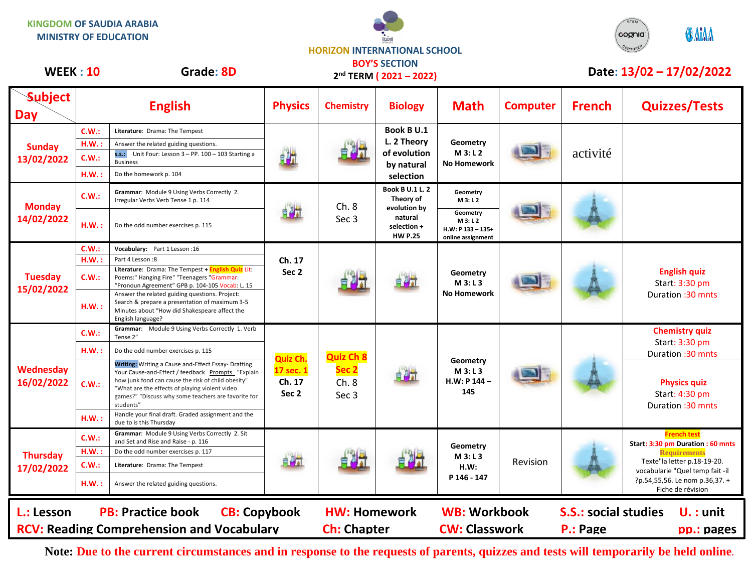**KINGDOM OF SAUDIA ARABIA MINISTRY OF EDUCATION**

## **HORIZON INTERNATIONAL SCHOOL**



## **BOY'S SECTION**

| <b>WEEK: 10</b>                                          |       | Grade: 8D                                                                                                                                                                                                                                                                            |                                          |                                                                  | 2 <sup>nd</sup> TERM (2021-2022)                                                                |                                                                |                 |                                                | Date: 13/02 - 17/02/2022                                                       |
|----------------------------------------------------------|-------|--------------------------------------------------------------------------------------------------------------------------------------------------------------------------------------------------------------------------------------------------------------------------------------|------------------------------------------|------------------------------------------------------------------|-------------------------------------------------------------------------------------------------|----------------------------------------------------------------|-----------------|------------------------------------------------|--------------------------------------------------------------------------------|
| <b>Subject</b><br>Day                                    |       | <b>English</b>                                                                                                                                                                                                                                                                       | <b>Physics</b>                           | <b>Chemistry</b>                                                 | <b>Biology</b>                                                                                  | <b>Math</b>                                                    | <b>Computer</b> | <b>French</b>                                  | <b>Quizzes/Tests</b>                                                           |
|                                                          | C.W.: | Literature: Drama: The Tempest                                                                                                                                                                                                                                                       |                                          |                                                                  | Book B U.1                                                                                      |                                                                |                 |                                                |                                                                                |
| <b>Sunday</b><br>13/02/2022                              | H.W.: | Answer the related guiding questions.                                                                                                                                                                                                                                                |                                          |                                                                  | L. 2 Theory                                                                                     | Geometry                                                       |                 |                                                |                                                                                |
|                                                          | C.W.: | s.s.: Unit Four: Lesson 3 - PP. 100 - 103 Starting a<br><b>Business</b>                                                                                                                                                                                                              | t h                                      |                                                                  | of evolution<br>by natural<br>selection                                                         | M 3: L 2<br><b>No Homework</b>                                 |                 | activité                                       |                                                                                |
|                                                          | H.W.: | Do the homework p. 104                                                                                                                                                                                                                                                               |                                          |                                                                  |                                                                                                 |                                                                |                 |                                                |                                                                                |
| <b>Monday</b><br>14/02/2022                              | C.W.: | Grammar: Module 9 Using Verbs Correctly 2.<br>Irregular Verbs Verb Tense 1 p. 114                                                                                                                                                                                                    |                                          | Ch.8<br>Sec <sub>3</sub>                                         | <b>Book B U.1 L. 2</b><br>Theory of<br>evolution by<br>natural<br>selection +<br><b>HW P.25</b> | Geometry<br>M 3: L 2                                           |                 |                                                |                                                                                |
|                                                          | HM.:  | Do the odd number exercises p. 115                                                                                                                                                                                                                                                   | 自調式                                      |                                                                  |                                                                                                 | Geometry<br>M 3: L 2<br>H.W: P 133 - 135+<br>online assignment |                 |                                                |                                                                                |
|                                                          | C.W.: | Vocabulary: Part 1 Lesson : 16                                                                                                                                                                                                                                                       | Ch. 17<br>Sec <sub>2</sub>               |                                                                  | 自身式                                                                                             | Geometry<br>M3: L3<br><b>No Homework</b>                       |                 |                                                |                                                                                |
| <b>Tuesday</b><br>15/02/2022                             | H.W.: | Part 4 Lesson:8                                                                                                                                                                                                                                                                      |                                          |                                                                  |                                                                                                 |                                                                |                 |                                                | <b>English quiz</b><br>Start: 3:30 pm<br>Duration: 30 mnts                     |
|                                                          | C.W.: | Literature: Drama: The Tempest + English Quiz Lit:<br>Poems:" Hanging Fire" "Teenagers "Grammar:<br>"Pronoun Agreement" GPB p. 104-105 Vocab: L. 15                                                                                                                                  |                                          |                                                                  |                                                                                                 |                                                                |                 |                                                |                                                                                |
|                                                          | HM.:  | Answer the related guiding questions. Project:<br>Search & prepare a presentation of maximum 3-5<br>Minutes about "How did Shakespeare affect the<br>English language?                                                                                                               |                                          |                                                                  |                                                                                                 |                                                                |                 |                                                |                                                                                |
| Wednesday<br>16/02/2022<br><b>Thursday</b><br>17/02/2022 | C.W.: | Grammar: Module 9 Using Verbs Correctly 1. Verb<br>Tense 2"                                                                                                                                                                                                                          | Quiz Ch.<br>17 sec. 1<br>Ch. 17<br>Sec 2 | <b>Quiz Ch 8</b><br>Sec <sub>2</sub><br>Ch.8<br>Sec <sub>3</sub> | 自身式                                                                                             | Geometry<br>M3: L3<br>$H.W: P 144 -$<br>145                    |                 |                                                | <b>Chemistry quiz</b><br>Start: 3:30 pm                                        |
|                                                          | H.W.: | Do the odd number exercises p. 115                                                                                                                                                                                                                                                   |                                          |                                                                  |                                                                                                 |                                                                |                 |                                                | Duration: 30 mnts                                                              |
|                                                          | C.W.: | Writing: Writing a Cause and-Effect Essay- Drafting<br>Your Cause-and-Effect / feedback Prompts "Explain<br>how junk food can cause the risk of child obesity"<br>"What are the effects of playing violent video<br>games?" "Discuss why some teachers are favorite for<br>students" |                                          |                                                                  |                                                                                                 |                                                                |                 |                                                | <b>Physics quiz</b><br>Start: 4:30 pm<br>Duration: 30 mnts                     |
|                                                          | H.W.: | Handle your final draft. Graded assignment and the<br>due to is this Thursday                                                                                                                                                                                                        |                                          |                                                                  |                                                                                                 |                                                                |                 |                                                |                                                                                |
|                                                          | C.W.: | Grammar: Module 9 Using Verbs Correctly 2. Sit<br>and Set and Rise and Raise - p. 116                                                                                                                                                                                                |                                          |                                                                  |                                                                                                 | Geometry<br>M3: L3<br>H.W:<br>P 146 - 147                      | Revision        |                                                | <b>French test</b><br>Start: 3:30 pm Duration : 60 mnts<br><b>Requirements</b> |
|                                                          | H.W.: | Do the odd number exercises p. 117                                                                                                                                                                                                                                                   | 自引式                                      |                                                                  |                                                                                                 |                                                                |                 |                                                |                                                                                |
|                                                          | C.W.: | Literature: Drama: The Tempest                                                                                                                                                                                                                                                       |                                          |                                                                  |                                                                                                 |                                                                |                 |                                                | Texte"la letter p.18-19-20.<br>vocabularie "Quel temp fait -il                 |
|                                                          | HM.:  | Answer the related guiding questions.                                                                                                                                                                                                                                                |                                          |                                                                  |                                                                                                 |                                                                |                 |                                                | ?p.54,55,56. Le nom p.36,37. +<br>Fiche de révision                            |
| L.: Lesson                                               |       | <b>PB: Practice book</b><br><b>CB: Copybook</b><br><b>RCV: Reading Comprehension and Vocabulary</b>                                                                                                                                                                                  |                                          | <b>HW: Homework</b><br><b>Ch: Chapter</b>                        |                                                                                                 | <b>WB: Workbook</b><br><b>CW: Classwork</b>                    |                 | <b>S.S.: social studies</b><br><b>P.: Page</b> | $U.$ : unit<br>pp.: pages                                                      |

**Note: Due to the current circumstances and in response to the requests of parents, quizzes and tests will temporarily be held online.**